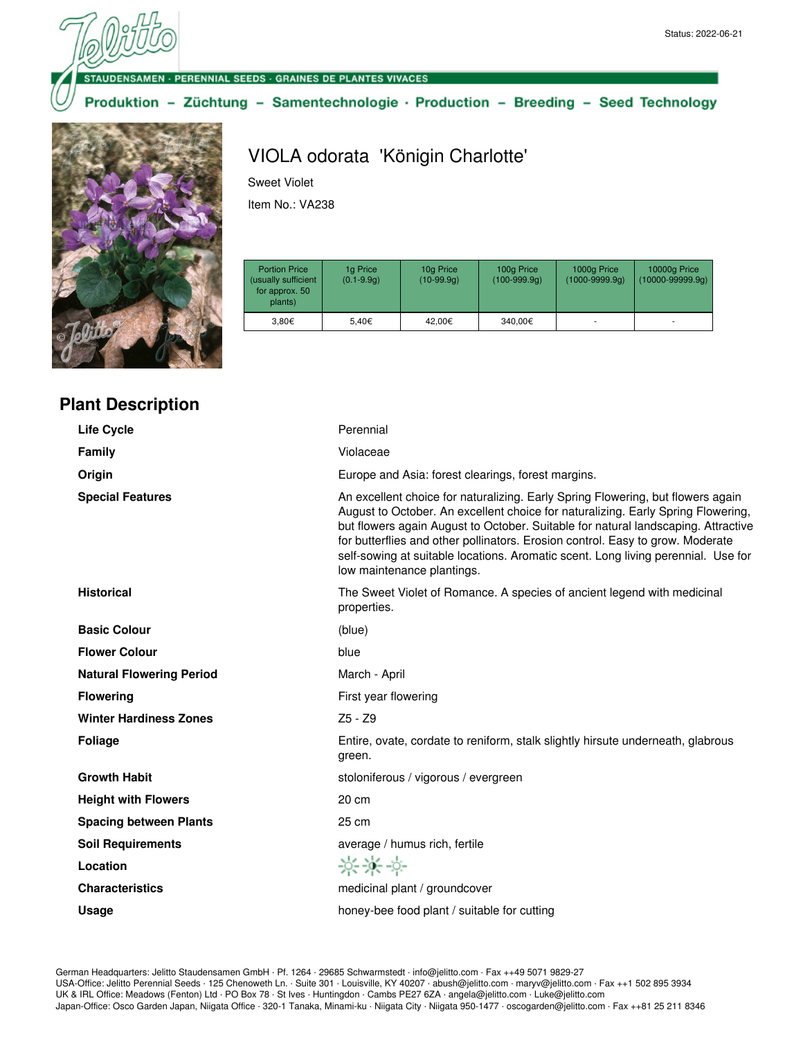#### · PERENNIAL SEEDS · GRAINES DE PLANTES VIVACES

Produktion - Züchtung - Samentechnologie · Production - Breeding - Seed Technology



### **Plant Description**

## VIOLA odorata 'Königin Charlotte'

Sweet Violet

Item No.: VA238

| <b>Portion Price</b><br>(usually sufficient<br>for approx. 50<br>plants) | 1g Price<br>$(0.1 - 9.9q)$ | 10g Price<br>$(10-99.9q)$ | 100g Price<br>$(100-999.9q)$ | 1000g Price<br>$(1000 - 9999.9q)$ | 10000g Price<br>$(10000 - 99999.9q)$ |
|--------------------------------------------------------------------------|----------------------------|---------------------------|------------------------------|-----------------------------------|--------------------------------------|
| 3.80€                                                                    | 5.40€                      | 42.00€                    | 340.00€                      | ۰                                 | ۰                                    |

| <b>Life Cycle</b>               | Perennial                                                                                                                                                                                                                                                                                                                                                                                                                                                     |
|---------------------------------|---------------------------------------------------------------------------------------------------------------------------------------------------------------------------------------------------------------------------------------------------------------------------------------------------------------------------------------------------------------------------------------------------------------------------------------------------------------|
| Family                          | Violaceae                                                                                                                                                                                                                                                                                                                                                                                                                                                     |
| Origin                          | Europe and Asia: forest clearings, forest margins.                                                                                                                                                                                                                                                                                                                                                                                                            |
| <b>Special Features</b>         | An excellent choice for naturalizing. Early Spring Flowering, but flowers again<br>August to October. An excellent choice for naturalizing. Early Spring Flowering,<br>but flowers again August to October. Suitable for natural landscaping. Attractive<br>for butterflies and other pollinators. Erosion control. Easy to grow. Moderate<br>self-sowing at suitable locations. Aromatic scent. Long living perennial. Use for<br>low maintenance plantings. |
| <b>Historical</b>               | The Sweet Violet of Romance. A species of ancient legend with medicinal<br>properties.                                                                                                                                                                                                                                                                                                                                                                        |
| <b>Basic Colour</b>             | (blue)                                                                                                                                                                                                                                                                                                                                                                                                                                                        |
| <b>Flower Colour</b>            | blue                                                                                                                                                                                                                                                                                                                                                                                                                                                          |
| <b>Natural Flowering Period</b> | March - April                                                                                                                                                                                                                                                                                                                                                                                                                                                 |
| <b>Flowering</b>                | First year flowering                                                                                                                                                                                                                                                                                                                                                                                                                                          |
| <b>Winter Hardiness Zones</b>   | Z5 - Z9                                                                                                                                                                                                                                                                                                                                                                                                                                                       |
| <b>Foliage</b>                  | Entire, ovate, cordate to reniform, stalk slightly hirsute underneath, glabrous<br>green.                                                                                                                                                                                                                                                                                                                                                                     |
| <b>Growth Habit</b>             | stoloniferous / vigorous / evergreen                                                                                                                                                                                                                                                                                                                                                                                                                          |
| <b>Height with Flowers</b>      | 20 cm                                                                                                                                                                                                                                                                                                                                                                                                                                                         |
| <b>Spacing between Plants</b>   | $25 \text{ cm}$                                                                                                                                                                                                                                                                                                                                                                                                                                               |
| <b>Soil Requirements</b>        | average / humus rich, fertile                                                                                                                                                                                                                                                                                                                                                                                                                                 |
| Location                        | 兴米兴                                                                                                                                                                                                                                                                                                                                                                                                                                                           |
| <b>Characteristics</b>          | medicinal plant / groundcover                                                                                                                                                                                                                                                                                                                                                                                                                                 |
| Usage                           | honey-bee food plant / suitable for cutting                                                                                                                                                                                                                                                                                                                                                                                                                   |